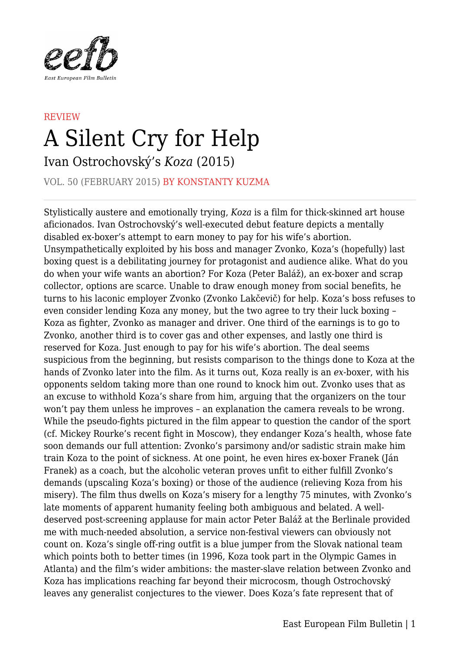

## **REVIEW** A Silent Cry for Help

Ivan Ostrochovský's *Koza* (2015)

VOL. 50 (FEBRUARY 2015) BY KONSTANTY KUZMA

Stylistically austere and emotionally trying, *Koza* is a film for thick-skinned art house aficionados. Ivan Ostrochovský's well-executed debut feature depicts a mentally disabled ex-boxer's attempt to earn money to pay for his wife's abortion. Unsympathetically exploited by his boss and manager Zvonko, Koza's (hopefully) last boxing quest is a debilitating journey for protagonist and audience alike. What do you do when your wife wants an abortion? For Koza (Peter Baláž), an ex-boxer and scrap collector, options are scarce. Unable to draw enough money from social benefits, he turns to his laconic employer Zvonko (Zvonko Lakčevič) for help. Koza's boss refuses to even consider lending Koza any money, but the two agree to try their luck boxing – Koza as fighter, Zvonko as manager and driver. One third of the earnings is to go to Zvonko, another third is to cover gas and other expenses, and lastly one third is reserved for Koza. Just enough to pay for his wife's abortion. The deal seems suspicious from the beginning, but resists comparison to the things done to Koza at the hands of Zvonko later into the film. As it turns out, Koza really is an *ex*-boxer, with his opponents seldom taking more than one round to knock him out. Zvonko uses that as an excuse to withhold Koza's share from him, arguing that the organizers on the tour won't pay them unless he improves – an explanation the camera reveals to be wrong. While the pseudo-fights pictured in the film appear to question the candor of the sport (cf. Mickey Rourke's recent fight in Moscow), they endanger Koza's health, whose fate soon demands our full attention: Zvonko's parsimony and/or sadistic strain make him train Koza to the point of sickness. At one point, he even hires ex-boxer Franek (Ján Franek) as a coach, but the alcoholic veteran proves unfit to either fulfill Zvonko's demands (upscaling Koza's boxing) or those of the audience (relieving Koza from his misery). The film thus dwells on Koza's misery for a lengthy 75 minutes, with Zvonko's late moments of apparent humanity feeling both ambiguous and belated. A welldeserved post-screening applause for main actor Peter Baláž at the Berlinale provided me with much-needed absolution, a service non-festival viewers can obviously not count on. Koza's single off-ring outfit is a blue jumper from the Slovak national team which points both to better times (in 1996, Koza took part in the Olympic Games in Atlanta) and the film's wider ambitions: the master-slave relation between Zvonko and Koza has implications reaching far beyond their microcosm, though Ostrochovský leaves any generalist conjectures to the viewer. Does Koza's fate represent that of